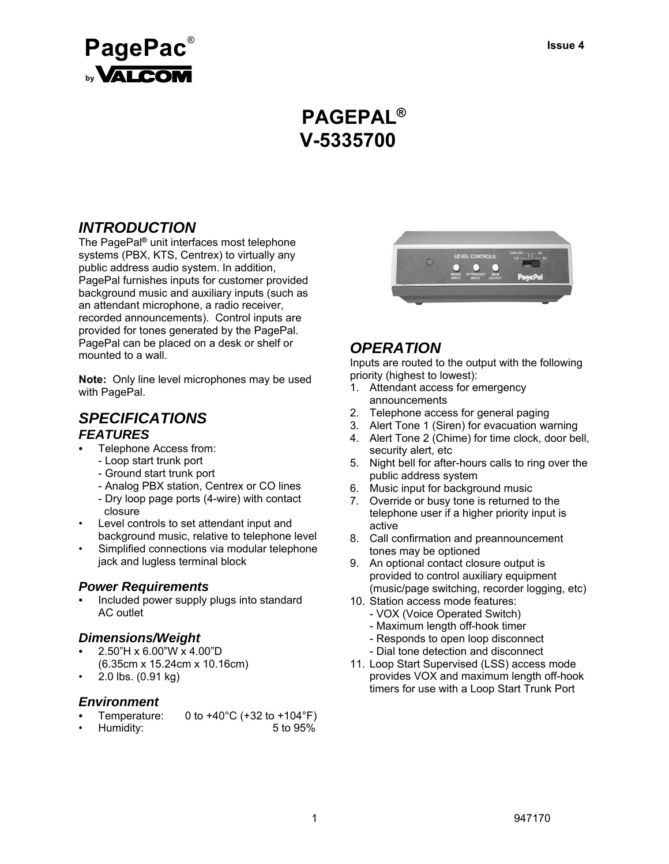

# **PAGEPAL® V-5335700**

## *INTRODUCTION*

The PagePal**®** unit interfaces most telephone systems (PBX, KTS, Centrex) to virtually any public address audio system. In addition, PagePal furnishes inputs for customer provided background music and auxiliary inputs (such as an attendant microphone, a radio receiver, recorded announcements). Control inputs are provided for tones generated by the PagePal. PagePal can be placed on a desk or shelf or mounted to a wall.

**Note:** Only line level microphones may be used with PagePal.

### *SPECIFICATIONS FEATURES*

- Telephone Access from:
	- Loop start trunk port
	- Ground start trunk port
	- Analog PBX station, Centrex or CO lines
	- Dry loop page ports (4-wire) with contact closure
- Level controls to set attendant input and background music, relative to telephone level
- Simplified connections via modular telephone jack and lugless terminal block

#### *Power Requirements*

*•* Included power supply plugs into standard AC outlet

#### *Dimensions/Weight*

- 2.50"H x 6.00"W x 4.00"D (6.35cm x 15.24cm x 10.16cm)
- 2.0 lbs. (0.91 kg)

#### *Environment*

- Temperature: 0 to +40°C (+32 to +104°F)
- Humidity: 5 to 95%



### *OPERATION*

Inputs are routed to the output with the following priority (highest to lowest):

- 1. Attendant access for emergency announcements
- 2. Telephone access for general paging
- 3. Alert Tone 1 (Siren) for evacuation warning
- 4. Alert Tone 2 (Chime) for time clock, door bell, security alert, etc
- 5. Night bell for after-hours calls to ring over the public address system
- 6. Music input for background music
- 7. Override or busy tone is returned to the telephone user if a higher priority input is active
- 8. Call confirmation and preannouncement tones may be optioned
- 9. An optional contact closure output is provided to control auxiliary equipment (music/page switching, recorder logging, etc)
- 10. Station access mode features:
	- VOX (Voice Operated Switch)
	- Maximum length off-hook timer
	- Responds to open loop disconnect
	- Dial tone detection and disconnect
- 11. Loop Start Supervised (LSS) access mode provides VOX and maximum length off-hook timers for use with a Loop Start Trunk Port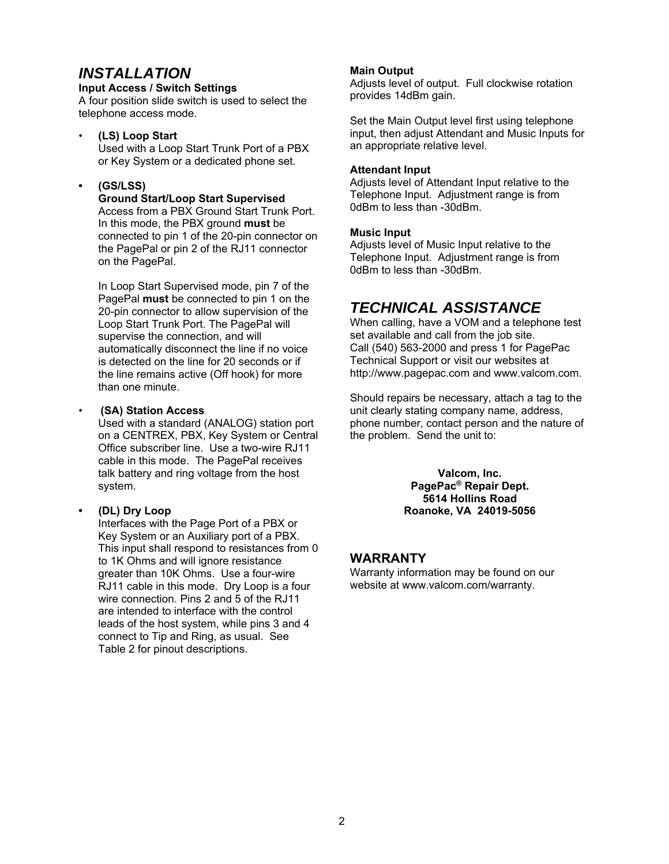# *INSTALLATION*

**Input Access / Switch Settings**

A four position slide switch is used to select the telephone access mode.

• **(LS) Loop Start**

 Used with a Loop Start Trunk Port of a PBX or Key System or a dedicated phone set.

#### **• (GS/LSS)**

 **Ground Start/Loop Start Supervised** Access from a PBX Ground Start Trunk Port. In this mode, the PBX ground **must** be connected to pin 1 of the 20-pin connector on the PagePal or pin 2 of the RJ11 connector on the PagePal.

 In Loop Start Supervised mode, pin 7 of the PagePal **must** be connected to pin 1 on the 20-pin connector to allow supervision of the Loop Start Trunk Port. The PagePal will supervise the connection, and will automatically disconnect the line if no voice is detected on the line for 20 seconds or if the line remains active (Off hook) for more than one minute.

#### • **(SA) Station Access**

 Used with a standard (ANALOG) station port on a CENTREX, PBX, Key System or Central Office subscriber line. Use a two-wire RJ11 cable in this mode. The PagePal receives talk battery and ring voltage from the host system.

#### **• (DL) Dry Loop**

 Interfaces with the Page Port of a PBX or Key System or an Auxiliary port of a PBX. This input shall respond to resistances from 0 to 1K Ohms and will ignore resistance greater than 10K Ohms. Use a four-wire RJ11 cable in this mode. Dry Loop is a four wire connection. Pins 2 and 5 of the RJ11 are intended to interface with the control leads of the host system, while pins 3 and 4 connect to Tip and Ring, as usual. See Table 2 for pinout descriptions.

#### **Main Output**

Adjusts level of output. Full clockwise rotation provides 14dBm gain.

Set the Main Output level first using telephone input, then adjust Attendant and Music Inputs for an appropriate relative level.

#### **Attendant Input**

Adjusts level of Attendant Input relative to the Telephone Input. Adjustment range is from 0dBm to less than -30dBm.

#### **Music Input**

Adjusts level of Music Input relative to the Telephone Input. Adjustment range is from 0dBm to less than -30dBm.

# *TECHNICAL ASSISTANCE*

When calling, have a VOM and a telephone test set available and call from the job site. Call (540) 563-2000 and press 1 for PagePac Technical Support or visit our websites at http://www.pagepac.com and www.valcom.com.

Should repairs be necessary, attach a tag to the unit clearly stating company name, address, phone number, contact person and the nature of the problem. Send the unit to:

> **Valcom, Inc. PagePac® Repair Dept. 5614 Hollins Road Roanoke, VA 24019-5056**

#### **WARRANTY**

Warranty information may be found on our website at www.valcom.com/warranty.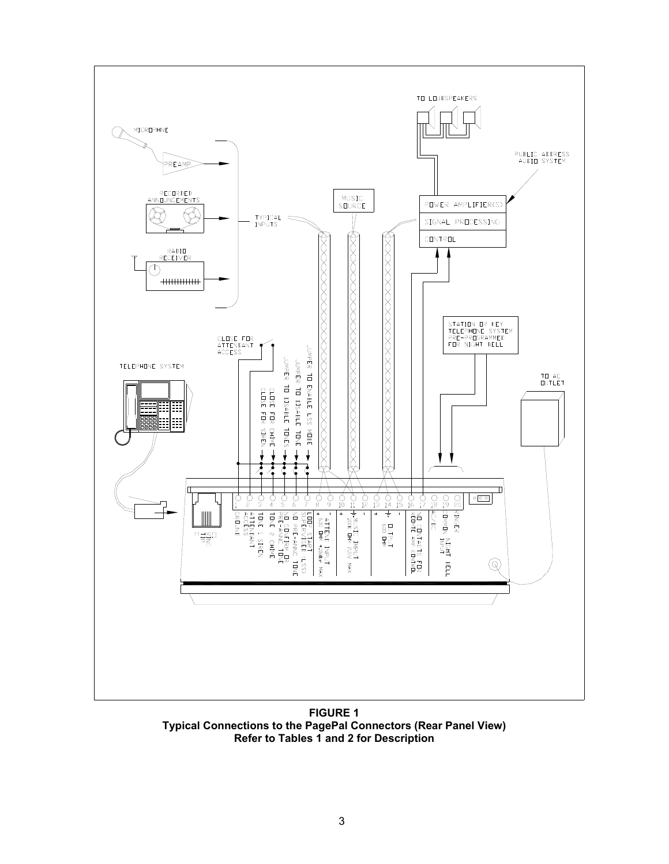

**FIGURE 1 Typical Connections to the PagePal Connectors (Rear Panel View) Refer to Tables 1 and 2 for Description**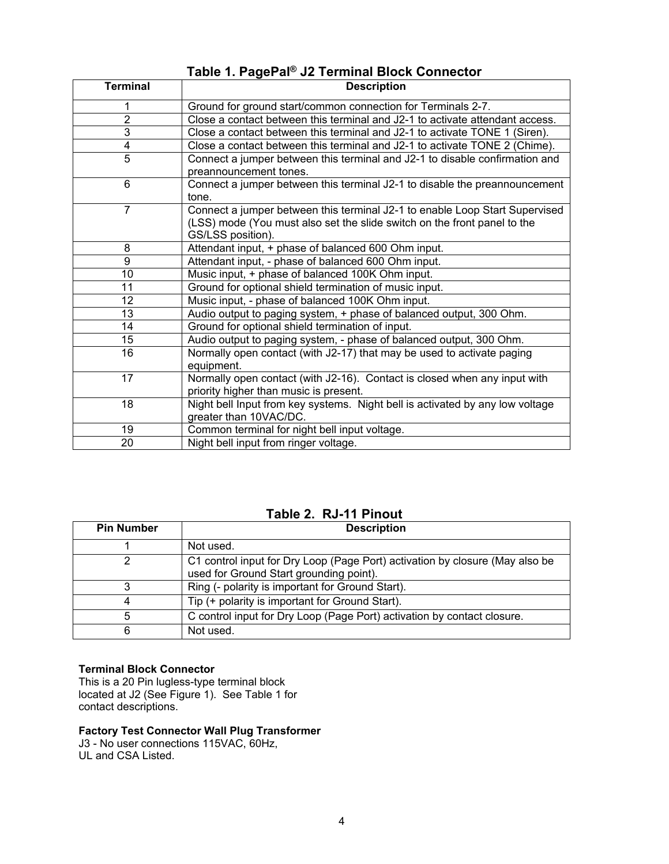# **Table 1. PagePal® J2 Terminal Block Connector**

| <b>Terminal</b> | <b>Description</b>                                                            |
|-----------------|-------------------------------------------------------------------------------|
| 1               | Ground for ground start/common connection for Terminals 2-7.                  |
| $\overline{2}$  | Close a contact between this terminal and J2-1 to activate attendant access.  |
| 3               | Close a contact between this terminal and J2-1 to activate TONE 1 (Siren).    |
| 4               | Close a contact between this terminal and J2-1 to activate TONE 2 (Chime).    |
| $\overline{5}$  | Connect a jumper between this terminal and J2-1 to disable confirmation and   |
|                 | preannouncement tones.                                                        |
| 6               | Connect a jumper between this terminal J2-1 to disable the preannouncement    |
|                 | tone.                                                                         |
| $\overline{7}$  | Connect a jumper between this terminal J2-1 to enable Loop Start Supervised   |
|                 | (LSS) mode (You must also set the slide switch on the front panel to the      |
|                 | GS/LSS position).                                                             |
| 8               | Attendant input, + phase of balanced 600 Ohm input.                           |
| 9               | Attendant input, - phase of balanced 600 Ohm input.                           |
| 10              | Music input, + phase of balanced 100K Ohm input.                              |
| 11              | Ground for optional shield termination of music input.                        |
| 12              | Music input, - phase of balanced 100K Ohm input.                              |
| 13              | Audio output to paging system, + phase of balanced output, 300 Ohm.           |
| 14              | Ground for optional shield termination of input.                              |
| 15              | Audio output to paging system, - phase of balanced output, 300 Ohm.           |
| 16              | Normally open contact (with J2-17) that may be used to activate paging        |
|                 | equipment.                                                                    |
| 17              | Normally open contact (with J2-16). Contact is closed when any input with     |
|                 | priority higher than music is present.                                        |
| 18              | Night bell Input from key systems. Night bell is activated by any low voltage |
|                 | greater than 10VAC/DC.                                                        |
| 19              | Common terminal for night bell input voltage.                                 |
| 20              | Night bell input from ringer voltage.                                         |

### **Table 2. RJ-11 Pinout**

| <b>Pin Number</b> | <b>Description</b>                                                                                                      |
|-------------------|-------------------------------------------------------------------------------------------------------------------------|
|                   | Not used.                                                                                                               |
|                   | C1 control input for Dry Loop (Page Port) activation by closure (May also be<br>used for Ground Start grounding point). |
|                   | Ring (- polarity is important for Ground Start).                                                                        |
|                   | Tip (+ polarity is important for Ground Start).                                                                         |
| 5                 | C control input for Dry Loop (Page Port) activation by contact closure.                                                 |
| 6                 | Not used.                                                                                                               |

#### **Terminal Block Connector**

This is a 20 Pin lugless-type terminal block located at J2 (See Figure 1). See Table 1 for contact descriptions.

#### **Factory Test Connector Wall Plug Transformer**

J3 - No user connections 115VAC, 60Hz, UL and CSA Listed.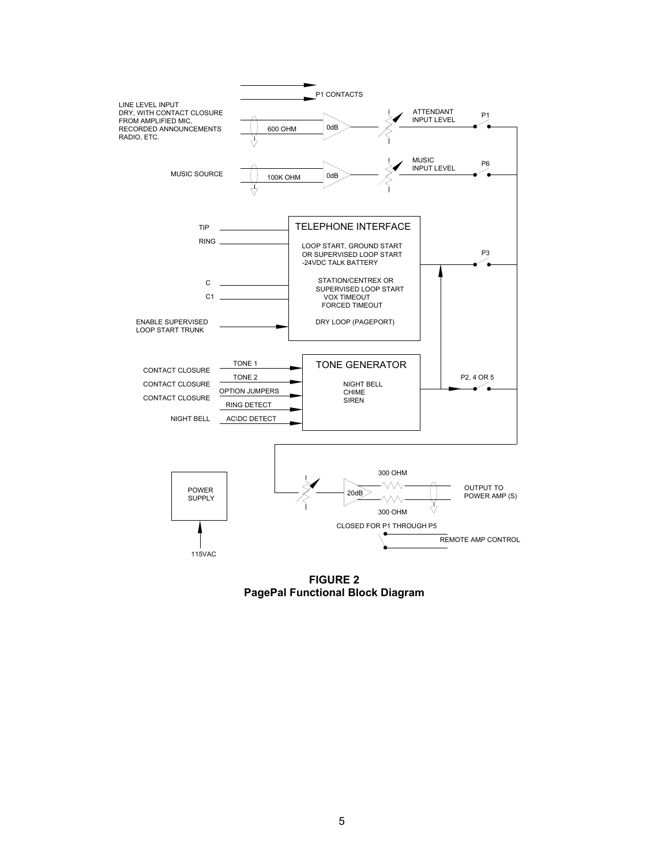

**FIGURE 2 PagePal Functional Block Diagram**